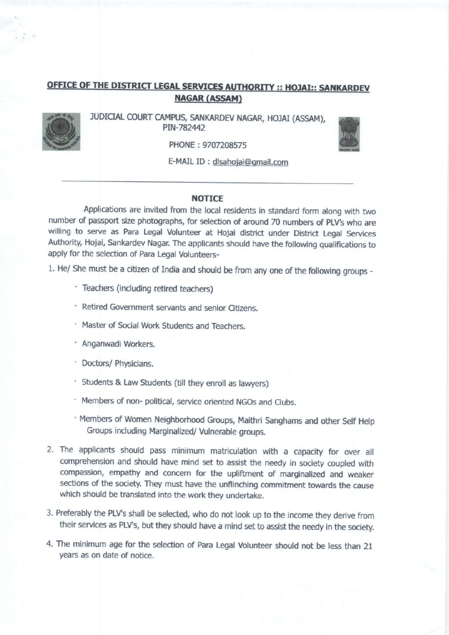## NAGAR (ASSAM) OFFICE OF THE DISTRICT LEGAL SERVICES AUTHORITY :: HOJAI:: SANKARDEV



JUDICIAL COURT CAMPUS, SANKARDEV NAGAR, HOJAI (ASSAM), PIN-782442



PHONE : 9707208575

E-MAIL ID : dlsahoiai@qmail,com

## **NOTICE**

Applications are invited from the local residents jn standard form along with two number of passport size photographs, for selection of around 70 numbers of PLV's who are willing to serve as Para Legal Volunteer at Hojai district under District Legal Services Authority, Hojai, Sankardev Nagar. The applicants should have the following qualifications to apply for the selection of Para Legal Volunteers-

1. He/ She must be a citizen of India and should be from any one of the following groups -

- ' Teachers (including retired teachers)
- ' Retired Government servants and senior Gtizens.
- ' Master of Social Work Students and Teachers.
- · Anganwadi Workers.
- · Doctors/ Physicians.
- ' Students & Law Students (till they enroll as lawyers)
- ' Members of non- political, service oriented NGOs and Clubs.
- ' Members of Women Neighborhood Groups, Maithri Sanghams and other Self Help Groups including Marginalized/ Vulnerable groups.
- 2. The applicants should pass minimum matriculation with a capacity for over all comprehension and should have mind set to assist the needy in society coupled with compassion, empathy and concern for the upliftment of marginalized and weaker sections of the society. They must have the unflinching commitment towards the cause which should be translated into the work they undertake.
- 3. Preferably the PLV's shall be selected, who do not look up to the income they derive from their services as PLV's, but they should have a mind set to assist the needy in the society.
- 4. The minimum age for the selection of Para Legal Volunteer should not be less than 21 years as on date of notice.